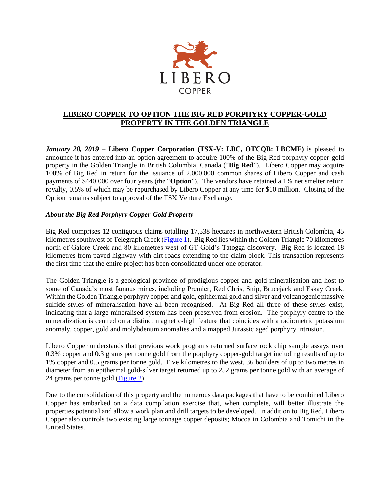

## **LIBERO COPPER TO OPTION THE BIG RED PORPHYRY COPPER-GOLD PROPERTY IN THE GOLDEN TRIANGLE**

*January 28, 2019* **– Libero Copper Corporation (TSX-V: LBC, OTCQB: LBCMF)** is pleased to announce it has entered into an option agreement to acquire 100% of the Big Red porphyry copper-gold property in the Golden Triangle in British Columbia, Canada ("**Big Red**"). Libero Copper may acquire 100% of Big Red in return for the issuance of 2,000,000 common shares of Libero Copper and cash payments of \$440,000 over four years (the "**Option**"). The vendors have retained a 1% net smelter return royalty, 0.5% of which may be repurchased by Libero Copper at any time for \$10 million. Closing of the Option remains subject to approval of the TSX Venture Exchange.

## *About the Big Red Porphyry Copper-Gold Property*

Big Red comprises 12 contiguous claims totalling 17,538 hectares in northwestern British Colombia, 45 kilometres southwest of Telegraph Creek [\(Figure 1\)](http://liberocopper.com/_resources/bigred/Big-Red-Figure-1.pdf). Big Red lies within the Golden Triangle 70 kilometres north of Galore Creek and 80 kilometres west of GT Gold's Tatogga discovery. Big Red is located 18 kilometres from paved highway with dirt roads extending to the claim block. This transaction represents the first time that the entire project has been consolidated under one operator.

The Golden Triangle is a geological province of prodigious copper and gold mineralisation and host to some of Canada's most famous mines, including Premier, Red Chris, Snip, Brucejack and Eskay Creek. Within the Golden Triangle porphyry copper and gold, epithermal gold and silver and volcanogenic massive sulfide styles of mineralisation have all been recognised. At Big Red all three of these styles exist, indicating that a large mineralised system has been preserved from erosion. The porphyry centre to the mineralization is centred on a distinct magnetic-high feature that coincides with a radiometric potassium anomaly, copper, gold and molybdenum anomalies and a mapped Jurassic aged porphyry intrusion.

Libero Copper understands that previous work programs returned surface rock chip sample assays over 0.3% copper and 0.3 grams per tonne gold from the porphyry copper-gold target including results of up to 1% copper and 0.5 grams per tonne gold. Five kilometres to the west, 36 boulders of up to two metres in diameter from an epithermal gold-silver target returned up to 252 grams per tonne gold with an average of 24 grams per tonne gold [\(Figure 2\)](http://liberocopper.com/_resources/bigred/Big-Red-Figure-2.pdf).

Due to the consolidation of this property and the numerous data packages that have to be combined Libero Copper has embarked on a data compilation exercise that, when complete, will better illustrate the properties potential and allow a work plan and drill targets to be developed. In addition to Big Red, Libero Copper also controls two existing large tonnage copper deposits; Mocoa in Colombia and Tomichi in the United States.